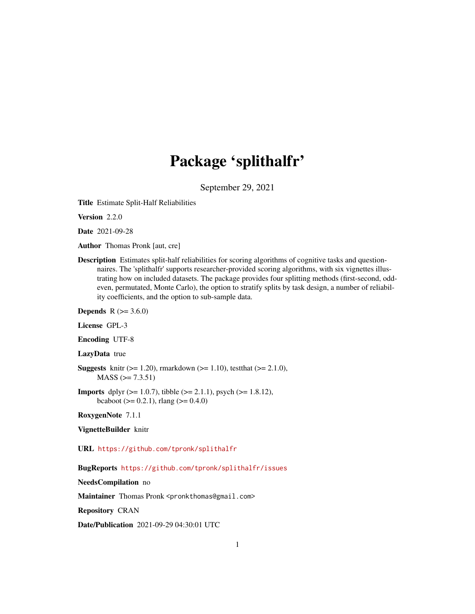# Package 'splithalfr'

September 29, 2021

<span id="page-0-0"></span>Title Estimate Split-Half Reliabilities

Version 2.2.0

Date 2021-09-28

Author Thomas Pronk [aut, cre]

Description Estimates split-half reliabilities for scoring algorithms of cognitive tasks and questionnaires. The 'splithalfr' supports researcher-provided scoring algorithms, with six vignettes illustrating how on included datasets. The package provides four splitting methods (first-second, oddeven, permutated, Monte Carlo), the option to stratify splits by task design, a number of reliability coefficients, and the option to sub-sample data.

**Depends** R  $(>= 3.6.0)$ 

License GPL-3

Encoding UTF-8

LazyData true

**Suggests** knitr ( $>= 1.20$ ), rmarkdown ( $>= 1.10$ ), test that ( $>= 2.1.0$ ),  $MASS$  ( $>= 7.3.51$ )

**Imports** dplyr ( $>= 1.0.7$ ), tibble ( $>= 2.1.1$ ), psych ( $>= 1.8.12$ ), bcaboot ( $> = 0.2.1$ ), rlang ( $>= 0.4.0$ )

RoxygenNote 7.1.1

#### VignetteBuilder knitr

URL <https://github.com/tpronk/splithalfr>

BugReports <https://github.com/tpronk/splithalfr/issues>

NeedsCompilation no

Maintainer Thomas Pronk <pronkthomas@gmail.com>

Repository CRAN

Date/Publication 2021-09-29 04:30:01 UTC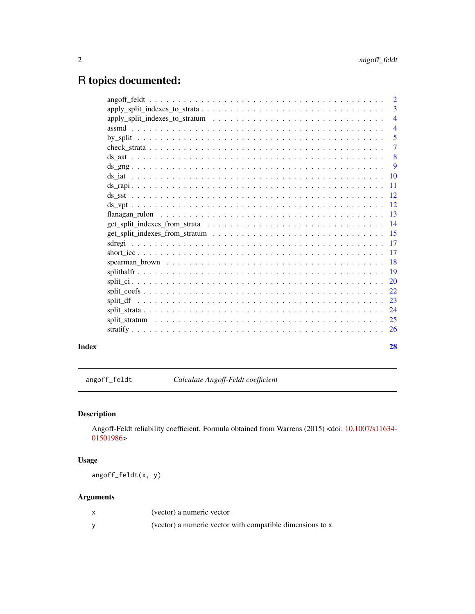# <span id="page-1-0"></span>R topics documented:

|       |                                                                                                                                        | $\overline{3}$            |
|-------|----------------------------------------------------------------------------------------------------------------------------------------|---------------------------|
|       |                                                                                                                                        | $\overline{4}$            |
|       |                                                                                                                                        |                           |
|       |                                                                                                                                        | 5                         |
|       |                                                                                                                                        | $\overline{7}$            |
|       |                                                                                                                                        | $\overline{\phantom{0}}8$ |
|       |                                                                                                                                        | $\overline{9}$            |
|       |                                                                                                                                        |                           |
|       |                                                                                                                                        |                           |
|       |                                                                                                                                        |                           |
|       |                                                                                                                                        |                           |
|       |                                                                                                                                        |                           |
|       |                                                                                                                                        |                           |
|       | $get_split_indexes_from_stratum \dots \dots \dots \dots \dots \dots \dots \dots \dots \dots \dots \dots \dots \dots \dots \dots \dots$ |                           |
|       |                                                                                                                                        |                           |
|       |                                                                                                                                        |                           |
|       |                                                                                                                                        |                           |
|       |                                                                                                                                        |                           |
|       |                                                                                                                                        |                           |
|       |                                                                                                                                        |                           |
|       |                                                                                                                                        |                           |
|       |                                                                                                                                        |                           |
|       |                                                                                                                                        |                           |
|       |                                                                                                                                        |                           |
|       |                                                                                                                                        |                           |
| Index |                                                                                                                                        | 28                        |

<span id="page-1-1"></span>angoff\_feldt *Calculate Angoff-Feldt coefficient*

# Description

Angoff-Feldt reliability coefficient. Formula obtained from Warrens (2015) <doi: [10.1007/s11634-](https://doi.org/10.1007/s11634-015-0198-6) [01501986>](https://doi.org/10.1007/s11634-015-0198-6)

# Usage

angoff\_feldt(x, y)

| (vector) a numeric vector                                 |
|-----------------------------------------------------------|
| (vector) a numeric vector with compatible dimensions to x |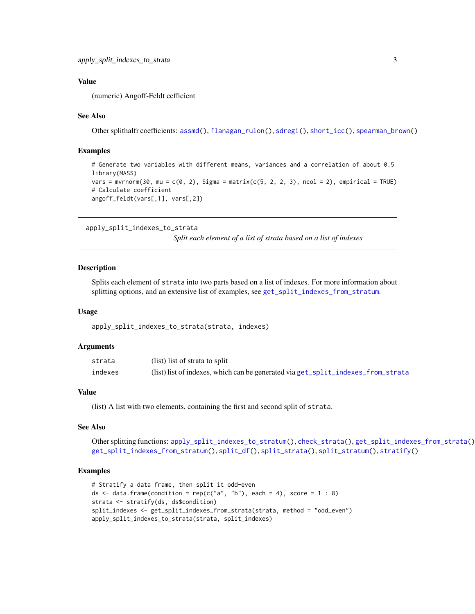# <span id="page-2-0"></span>Value

(numeric) Angoff-Feldt cefficient

#### See Also

Other splithalfr coefficients: [assmd\(](#page-3-1)), [flanagan\\_rulon\(](#page-12-1)), [sdregi\(](#page-16-1)), [short\\_icc\(](#page-16-2)), [spearman\\_brown\(](#page-17-1))

#### Examples

```
# Generate two variables with different means, variances and a correlation of about 0.5
library(MASS)
vars = mvrnorm(30, mu = c(0, 2), Sigma = matrix(c(5, 2, 2, 3), ncol = 2), empirical = TRUE)
# Calculate coefficient
angoff_feldt(vars[,1], vars[,2])
```

```
apply_split_indexes_to_strata
```
*Split each element of a list of strata based on a list of indexes*

#### **Description**

Splits each element of strata into two parts based on a list of indexes. For more information about splitting options, and an extensive list of examples, see [get\\_split\\_indexes\\_from\\_stratum](#page-14-1).

#### Usage

```
apply_split_indexes_to_strata(strata, indexes)
```
#### Arguments

| strata  | (list) list of strata to split                                                     |
|---------|------------------------------------------------------------------------------------|
| indexes | $(list)$ list of indexes, which can be generated via get_split_indexes_from_strata |

#### Value

(list) A list with two elements, containing the first and second split of strata.

## See Also

```
Other splitting functions: apply_split_indexes_to_stratum(), check_strata(), get_split_indexes_from_strata(),
get_split_indexes_from_stratum(), split_df(), split_strata(), split_stratum(), stratify()
```
#### Examples

```
# Stratify a data frame, then split it odd-even
ds \le data.frame(condition = rep(c("a", "b"), each = 4), score = 1 : 8)
strata <- stratify(ds, ds$condition)
split_indexes <- get_split_indexes_from_strata(strata, method = "odd_even")
apply_split_indexes_to_strata(strata, split_indexes)
```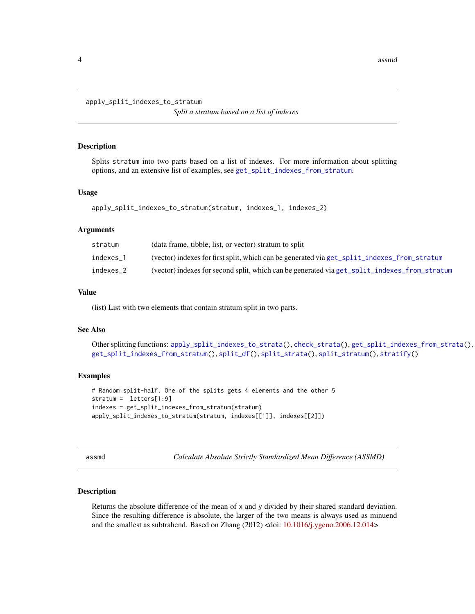<span id="page-3-2"></span><span id="page-3-0"></span>apply\_split\_indexes\_to\_stratum

*Split a stratum based on a list of indexes*

#### Description

Splits stratum into two parts based on a list of indexes. For more information about splitting options, and an extensive list of examples, see [get\\_split\\_indexes\\_from\\_stratum](#page-14-1).

#### Usage

```
apply_split_indexes_to_stratum(stratum, indexes_1, indexes_2)
```
#### Arguments

| stratum   | (data frame, tibble, list, or vector) stratum to split                                       |
|-----------|----------------------------------------------------------------------------------------------|
| indexes 1 | (vector) indexes for first split, which can be generated via get_split_indexes_from_stratum  |
| indexes 2 | (vector) indexes for second split, which can be generated via get_split_indexes_from_stratum |

#### Value

(list) List with two elements that contain stratum split in two parts.

#### See Also

```
Other splitting functions: apply_split_indexes_to_strata(), check_strata(), get_split_indexes_from_strata(),
get_split_indexes_from_stratum(), split_df(), split_strata(), split_stratum(), stratify()
```
#### Examples

```
# Random split-half. One of the splits gets 4 elements and the other 5
stratum = letters[1:9]
indexes = get_split_indexes_from_stratum(stratum)
apply_split_indexes_to_stratum(stratum, indexes[[1]], indexes[[2]])
```
<span id="page-3-1"></span>assmd *Calculate Absolute Strictly Standardized Mean Difference (ASSMD)*

#### Description

Returns the absolute difference of the mean of x and y divided by their shared standard deviation. Since the resulting difference is absolute, the larger of the two means is always used as minuend and the smallest as subtrahend. Based on Zhang (2012) <doi: [10.1016/j.ygeno.2006.12.014>](https://doi.org/10.1016/j.ygeno.2006.12.014)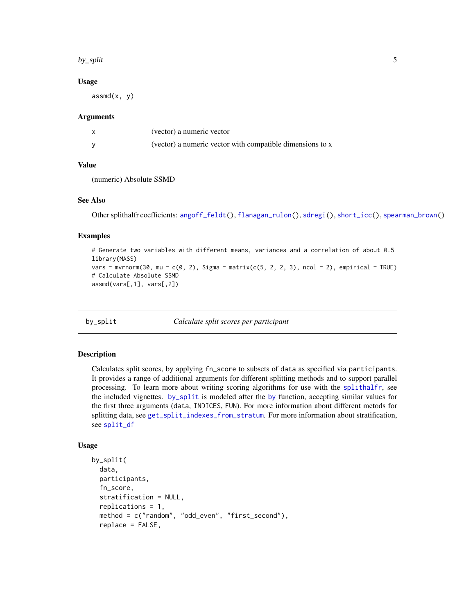#### <span id="page-4-0"></span>by\_split 5

#### Usage

 $assmd(x, y)$ 

#### Arguments

| (vector) a numeric vector                                 |
|-----------------------------------------------------------|
| (vector) a numeric vector with compatible dimensions to x |

#### Value

(numeric) Absolute SSMD

### See Also

Other splithalfr coefficients: [angoff\\_feldt\(](#page-1-1)), [flanagan\\_rulon\(](#page-12-1)), [sdregi\(](#page-16-1)), [short\\_icc\(](#page-16-2)), [spearman\\_brown\(](#page-17-1))

#### Examples

```
# Generate two variables with different means, variances and a correlation of about 0.5
library(MASS)
vars = mvrnorm(30, mu = c(0, 2), Sigma = matrix(c(5, 2, 2, 3), ncol = 2), empirical = TRUE)
# Calculate Absolute SSMD
assmd(vars[,1], vars[,2])
```
<span id="page-4-1"></span>by\_split *Calculate split scores per participant*

#### Description

Calculates split scores, by applying fn\_score to subsets of data as specified via participants. It provides a range of additional arguments for different splitting methods and to support parallel processing. To learn more about writing scoring algorithms for use with the [splithalfr](#page-18-1), see the included vignettes. [by\\_split](#page-4-1) is modeled after the [by](#page-0-0) function, accepting similar values for the first three arguments (data, INDICES, FUN). For more information about different metods for splitting data, see [get\\_split\\_indexes\\_from\\_stratum](#page-14-1). For more information about stratification, see [split\\_df](#page-22-1)

#### Usage

```
by_split(
  data,
  participants,
  fn_score,
  stratification = NULL,
  replications = 1,
  method = c("random", "odd_even", "first_second"),
  replace = FALSE,
```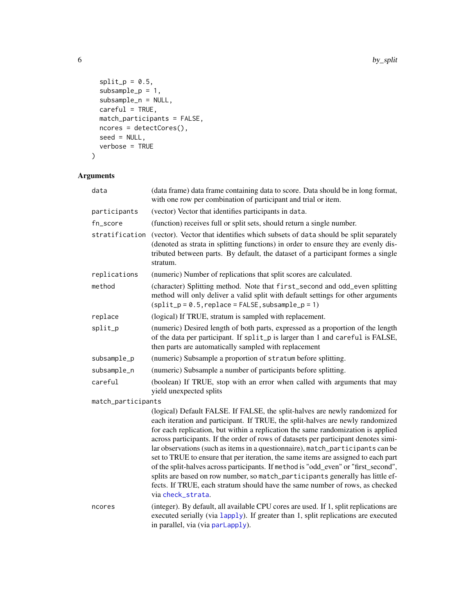```
split_p = 0.5,
subsample_p = 1,
subsample_n = NULL,careful = TRUE,match_participants = FALSE,
ncores = detectCores(),
seed = NULL,
verbose = TRUE
```
# $\mathcal{L}$

| data               | (data frame) data frame containing data to score. Data should be in long format,<br>with one row per combination of participant and trial or item.                                                                                                                                                                                                                                                                                                                                                                                                                                                                                                                                                                                                                                              |  |
|--------------------|-------------------------------------------------------------------------------------------------------------------------------------------------------------------------------------------------------------------------------------------------------------------------------------------------------------------------------------------------------------------------------------------------------------------------------------------------------------------------------------------------------------------------------------------------------------------------------------------------------------------------------------------------------------------------------------------------------------------------------------------------------------------------------------------------|--|
| participants       | (vector) Vector that identifies participants in data.                                                                                                                                                                                                                                                                                                                                                                                                                                                                                                                                                                                                                                                                                                                                           |  |
| fn_score           | (function) receives full or split sets, should return a single number.                                                                                                                                                                                                                                                                                                                                                                                                                                                                                                                                                                                                                                                                                                                          |  |
| stratification     | (vector). Vector that identifies which subsets of data should be split separately<br>(denoted as strata in splitting functions) in order to ensure they are evenly dis-<br>tributed between parts. By default, the dataset of a participant formes a single<br>stratum.                                                                                                                                                                                                                                                                                                                                                                                                                                                                                                                         |  |
| replications       | (numeric) Number of replications that split scores are calculated.                                                                                                                                                                                                                                                                                                                                                                                                                                                                                                                                                                                                                                                                                                                              |  |
| method             | (character) Splitting method. Note that first_second and odd_even splitting<br>method will only deliver a valid split with default settings for other arguments<br>$(split_p = 0.5, replace = FALSE, subsample_p = 1)$                                                                                                                                                                                                                                                                                                                                                                                                                                                                                                                                                                          |  |
| replace            | (logical) If TRUE, stratum is sampled with replacement.                                                                                                                                                                                                                                                                                                                                                                                                                                                                                                                                                                                                                                                                                                                                         |  |
| split_p            | (numeric) Desired length of both parts, expressed as a proportion of the length<br>of the data per participant. If split_p is larger than 1 and careful is FALSE,<br>then parts are automatically sampled with replacement                                                                                                                                                                                                                                                                                                                                                                                                                                                                                                                                                                      |  |
| subsample_p        | (numeric) Subsample a proportion of stratum before splitting.                                                                                                                                                                                                                                                                                                                                                                                                                                                                                                                                                                                                                                                                                                                                   |  |
| subsample_n        | (numeric) Subsample a number of participants before splitting.                                                                                                                                                                                                                                                                                                                                                                                                                                                                                                                                                                                                                                                                                                                                  |  |
| careful            | (boolean) If TRUE, stop with an error when called with arguments that may<br>yield unexpected splits                                                                                                                                                                                                                                                                                                                                                                                                                                                                                                                                                                                                                                                                                            |  |
| match_participants |                                                                                                                                                                                                                                                                                                                                                                                                                                                                                                                                                                                                                                                                                                                                                                                                 |  |
|                    | (logical) Default FALSE. If FALSE, the split-halves are newly randomized for<br>each iteration and participant. If TRUE, the split-halves are newly randomized<br>for each replication, but within a replication the same randomization is applied<br>across participants. If the order of rows of datasets per participant denotes simi-<br>lar observations (such as items in a questionnaire), match_participants can be<br>set to TRUE to ensure that per iteration, the same items are assigned to each part<br>of the split-halves across participants. If method is "odd_even" or "first_second",<br>splits are based on row number, so match_participants generally has little ef-<br>fects. If TRUE, each stratum should have the same number of rows, as checked<br>via check_strata. |  |
| ncores             | (integer). By default, all available CPU cores are used. If 1, split replications are<br>executed serially (via lapply). If greater than 1, split replications are executed<br>in parallel, via (via parLapply).                                                                                                                                                                                                                                                                                                                                                                                                                                                                                                                                                                                |  |

<span id="page-5-0"></span>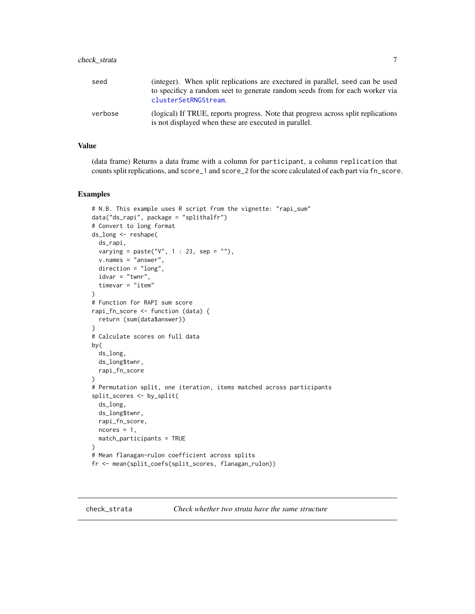<span id="page-6-0"></span>

| seed    | (integer). When split replications are exectured in parallel, seed can be used<br>to specificy a random seet to generate random seeds from for each worker via<br>clusterSetRNGStream. |
|---------|----------------------------------------------------------------------------------------------------------------------------------------------------------------------------------------|
| verbose | (logical) If TRUE, reports progress. Note that progress across split replications<br>is not displayed when these are executed in parallel.                                             |

# Value

(data frame) Returns a data frame with a column for participant, a column replication that counts split replications, and score\_1 and score\_2 for the score calculated of each part via fn\_score.

#### Examples

```
# N.B. This example uses R script from the vignette: "rapi_sum"
data("ds_rapi", package = "splithalfr")
# Convert to long format
ds_long <- reshape(
  ds_rapi,
  varying = paste("V'', 1 : 23, sep = ""),
  v.names = "answer",
  direction = "long",
  idvar = "turnr",timevar = "item"
\mathcal{L}# Function for RAPI sum score
rapi_fn_score <- function (data) {
  return (sum(data$answer))
}
# Calculate scores on full data
by(
  ds_long,
  ds_long$twnr,
  rapi_fn_score
\mathcal{L}# Permutation split, one iteration, items matched across participants
split_scores <- by_split(
  ds_long,
  ds_long$twnr,
  rapi_fn_score,
  ncores = 1,
  match_participants = TRUE
)
# Mean flanagan-rulon coefficient across splits
fr <- mean(split_coefs(split_scores, flanagan_rulon))
```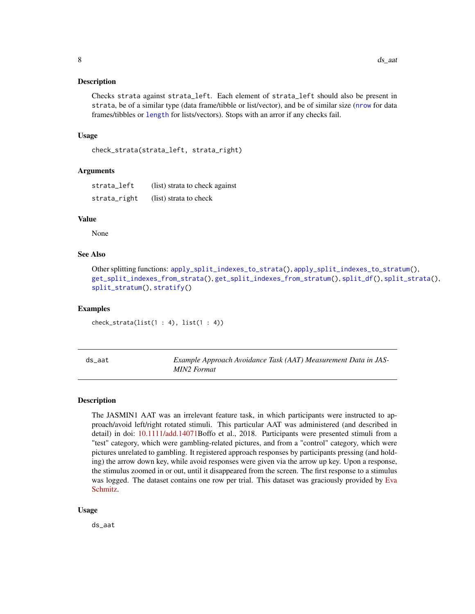#### <span id="page-7-0"></span>**Description**

Checks strata against strata\_left. Each element of strata\_left should also be present in strata, be of a similar type (data frame/tibble or list/vector), and be of similar size ([nrow](#page-0-0) for data frames/tibbles or [length](#page-0-0) for lists/vectors). Stops with an arror if any checks fail.

#### Usage

```
check_strata(strata_left, strata_right)
```
#### **Arguments**

| strata_left  | (list) strata to check against |
|--------------|--------------------------------|
| strata_right | (list) strata to check         |

#### Value

None

# See Also

```
Other splitting functions: apply_split_indexes_to_strata(), apply_split_indexes_to_stratum(),
get_split_indexes_from_strata(), get_split_indexes_from_stratum(), split_df(), split_strata(),
split_stratum(), stratify()
```
#### Examples

 $check_{strat}(list(1 : 4), list(1 : 4))$ 

| ds aat | Example Approach Avoidance Task (AAT) Measurement Data in JAS- |
|--------|----------------------------------------------------------------|
|        | MIN2 Format                                                    |

#### Description

The JASMIN1 AAT was an irrelevant feature task, in which participants were instructed to approach/avoid left/right rotated stimuli. This particular AAT was administered (and described in detail) in doi: [10.1111/add.14071B](https://doi.org/10.1111/add.14071)offo et al., 2018. Participants were presented stimuli from a "test" category, which were gambling-related pictures, and from a "control" category, which were pictures unrelated to gambling. It registered approach responses by participants pressing (and holding) the arrow down key, while avoid responses were given via the arrow up key. Upon a response, the stimulus zoomed in or out, until it disappeared from the screen. The first response to a stimulus was logged. The dataset contains one row per trial. This dataset was graciously provided by [Eva](https://www.researchgate.net/profile/Eva-Schmitz) [Schmitz.](https://www.researchgate.net/profile/Eva-Schmitz)

#### Usage

ds\_aat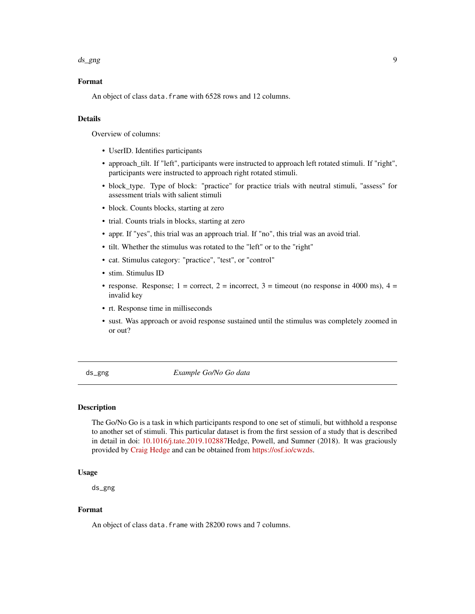#### <span id="page-8-0"></span>ds\_gng 9

### Format

An object of class data. frame with 6528 rows and 12 columns.

# Details

Overview of columns:

- UserID. Identifies participants
- approach\_tilt. If "left", participants were instructed to approach left rotated stimuli. If "right", participants were instructed to approach right rotated stimuli.
- block\_type. Type of block: "practice" for practice trials with neutral stimuli, "assess" for assessment trials with salient stimuli
- block. Counts blocks, starting at zero
- trial. Counts trials in blocks, starting at zero
- appr. If "yes", this trial was an approach trial. If "no", this trial was an avoid trial.
- tilt. Whether the stimulus was rotated to the "left" or to the "right"
- cat. Stimulus category: "practice", "test", or "control"
- stim. Stimulus ID
- response. Response; 1 = correct, 2 = incorrect, 3 = timeout (no response in 4000 ms), 4 = invalid key
- rt. Response time in milliseconds
- sust. Was approach or avoid response sustained until the stimulus was completely zoomed in or out?

ds\_gng *Example Go/No Go data*

#### Description

The Go/No Go is a task in which participants respond to one set of stimuli, but withhold a response to another set of stimuli. This particular dataset is from the first session of a study that is described in detail in doi: [10.1016/j.tate.2019.102887H](https://doi.org/10.1016/j.tate.2019.102887)edge, Powell, and Sumner (2018). It was graciously provided by [Craig Hedge](https://www.researchgate.net/profile/Craig-Hedge) and can be obtained from [https://osf.io/cwzds.](https://osf.io/cwzds)

#### Usage

ds\_gng

#### Format

An object of class data. frame with 28200 rows and 7 columns.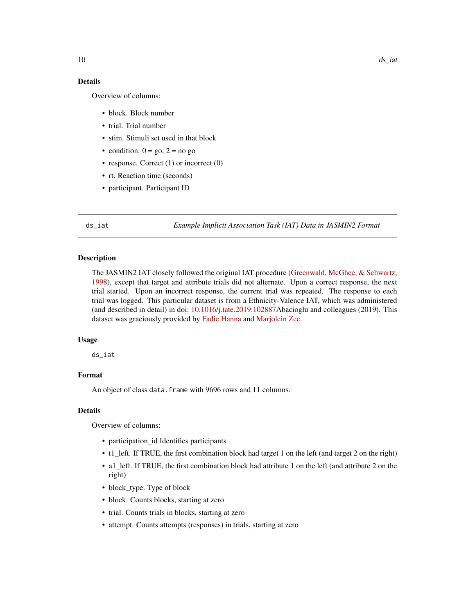# <span id="page-9-0"></span>Details

Overview of columns:

- block. Block number
- trial. Trial number
- stim. Stimuli set used in that block
- condition.  $0 = go, 2 = no go$
- response. Correct (1) or incorrect (0)
- rt. Reaction time (seconds)
- participant. Participant ID

ds\_iat *Example Implicit Association Task (IAT) Data in JASMIN2 Format*

#### **Description**

The JASMIN2 IAT closely followed the original IAT procedure [\(Greenwald, McGhee, & Schwartz,](https://pubmed.ncbi.nlm.nih.gov/9654756/) [1998\)](https://pubmed.ncbi.nlm.nih.gov/9654756/), except that target and attribute trials did not alternate. Upon a correct response, the next trial started. Upon an incorrect response, the current trial was repeated. The response to each trial was logged. This particular dataset is from a Ethnicity-Valence IAT, which was administered (and described in detail) in doi: [10.1016/j.tate.2019.102887A](https://doi.org/10.1016/j.tate.2019.102887)bacioglu and colleagues (2019). This dataset was graciously provided by [Fadie Hanna](https://www.uva.nl/en/profile/h/a/f.hanna/f.hanna.html) and [Marjolein Zee.](https://www.researchgate.net/profile/Marjolein-Zee-2)

### Usage

ds\_iat

# Format

An object of class data.frame with 9696 rows and 11 columns.

#### Details

Overview of columns:

- participation\_id Identifies participants
- t1\_left. If TRUE, the first combination block had target 1 on the left (and target 2 on the right)
- a1\_left. If TRUE, the first combination block had attribute 1 on the left (and attribute 2 on the right)
- block\_type. Type of block
- block. Counts blocks, starting at zero
- trial. Counts trials in blocks, starting at zero
- attempt. Counts attempts (responses) in trials, starting at zero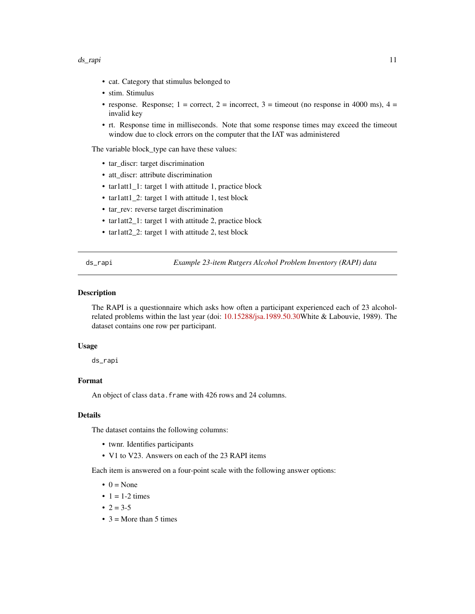#### <span id="page-10-0"></span>ds\_rapi 11

- cat. Category that stimulus belonged to
- stim. Stimulus
- response. Response; 1 = correct, 2 = incorrect, 3 = timeout (no response in 4000 ms), 4 = invalid key
- rt. Response time in milliseconds. Note that some response times may exceed the timeout window due to clock errors on the computer that the IAT was administered

The variable block\_type can have these values:

- tar\_discr: target discrimination
- att\_discr: attribute discrimination
- tar1att1\_1: target 1 with attitude 1, practice block
- tar1att1\_2: target 1 with attitude 1, test block
- tar\_rev: reverse target discrimination
- tar1att2\_1: target 1 with attitude 2, practice block
- tar1att2\_2: target 1 with attitude 2, test block

ds\_rapi *Example 23-item Rutgers Alcohol Problem Inventory (RAPI) data*

#### Description

The RAPI is a questionnaire which asks how often a participant experienced each of 23 alcoholrelated problems within the last year (doi: [10.15288/jsa.1989.50.30W](https://doi.org/10.15288/jsa.1989.50.30)hite & Labouvie, 1989). The dataset contains one row per participant.

#### Usage

ds\_rapi

#### Format

An object of class data. frame with 426 rows and 24 columns.

#### Details

The dataset contains the following columns:

- twnr. Identifies participants
- V1 to V23. Answers on each of the 23 RAPI items

Each item is answered on a four-point scale with the following answer options:

- $\bullet$  0 = None
- $\bullet$  1 = 1-2 times
- $2 = 3-5$
- $3 =$ More than 5 times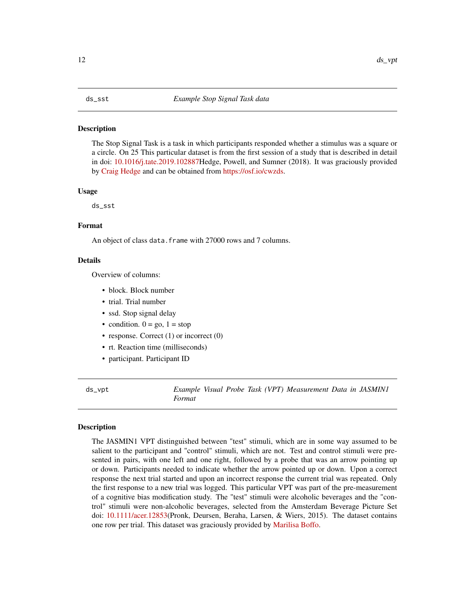#### <span id="page-11-0"></span>**Description**

The Stop Signal Task is a task in which participants responded whether a stimulus was a square or a circle. On 25 This particular dataset is from the first session of a study that is described in detail in doi: [10.1016/j.tate.2019.102887H](https://doi.org/10.1016/j.tate.2019.102887)edge, Powell, and Sumner (2018). It was graciously provided by [Craig Hedge](https://www.researchgate.net/profile/Craig-Hedge) and can be obtained from [https://osf.io/cwzds.](https://osf.io/cwzds)

#### Usage

ds\_sst

# Format

An object of class data. frame with 27000 rows and 7 columns.

# Details

Overview of columns:

- block. Block number
- trial. Trial number
- ssd. Stop signal delay
- condition.  $0 = go$ ,  $1 = stop$
- response. Correct (1) or incorrect (0)
- rt. Reaction time (milliseconds)
- participant. Participant ID

ds\_vpt *Example Visual Probe Task (VPT) Measurement Data in JASMIN1 Format*

## Description

The JASMIN1 VPT distinguished between "test" stimuli, which are in some way assumed to be salient to the participant and "control" stimuli, which are not. Test and control stimuli were presented in pairs, with one left and one right, followed by a probe that was an arrow pointing up or down. Participants needed to indicate whether the arrow pointed up or down. Upon a correct response the next trial started and upon an incorrect response the current trial was repeated. Only the first response to a new trial was logged. This particular VPT was part of the pre-measurement of a cognitive bias modification study. The "test" stimuli were alcoholic beverages and the "control" stimuli were non-alcoholic beverages, selected from the Amsterdam Beverage Picture Set doi: [10.1111/acer.12853\(](https://doi.org/10.1111/acer.12853)Pronk, Deursen, Beraha, Larsen, & Wiers, 2015). The dataset contains one row per trial. This dataset was graciously provided by [Marilisa Boffo.](https://www.researchgate.net/profile/Marilisa-Boffo)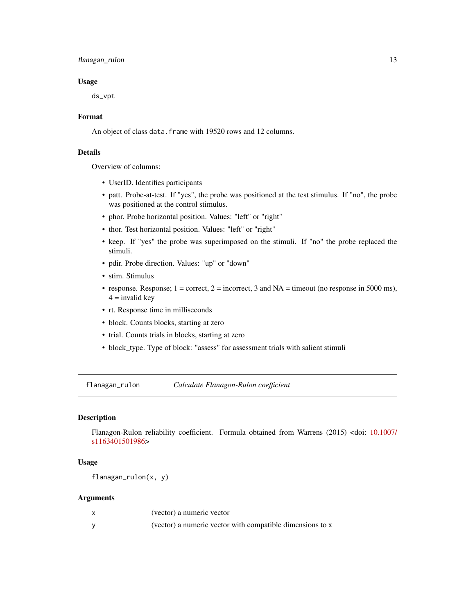# <span id="page-12-0"></span>flanagan\_rulon 13

#### Usage

ds\_vpt

#### Format

An object of class data.frame with 19520 rows and 12 columns.

# Details

Overview of columns:

- UserID. Identifies participants
- patt. Probe-at-test. If "yes", the probe was positioned at the test stimulus. If "no", the probe was positioned at the control stimulus.
- phor. Probe horizontal position. Values: "left" or "right"
- thor. Test horizontal position. Values: "left" or "right"
- keep. If "yes" the probe was superimposed on the stimuli. If "no" the probe replaced the stimuli.
- pdir. Probe direction. Values: "up" or "down"
- stim. Stimulus
- response. Response;  $1 = \text{correct}, 2 = \text{incorrect}, 3$  and  $NA = \text{timeout}$  (no response in 5000 ms),  $4 =$  invalid key
- rt. Response time in milliseconds
- block. Counts blocks, starting at zero
- trial. Counts trials in blocks, starting at zero
- block\_type. Type of block: "assess" for assessment trials with salient stimuli

<span id="page-12-1"></span>flanagan\_rulon *Calculate Flanagon-Rulon coefficient*

# Description

Flanagon-Rulon reliability coefficient. Formula obtained from Warrens (2015) <doi: [10.1007/](https://doi.org/10.1007/s11634-015-0198-6) [s1163401501986>](https://doi.org/10.1007/s11634-015-0198-6)

#### Usage

flanagan\_rulon(x, y)

| (vector) a numeric vector                                 |
|-----------------------------------------------------------|
| (vector) a numeric vector with compatible dimensions to x |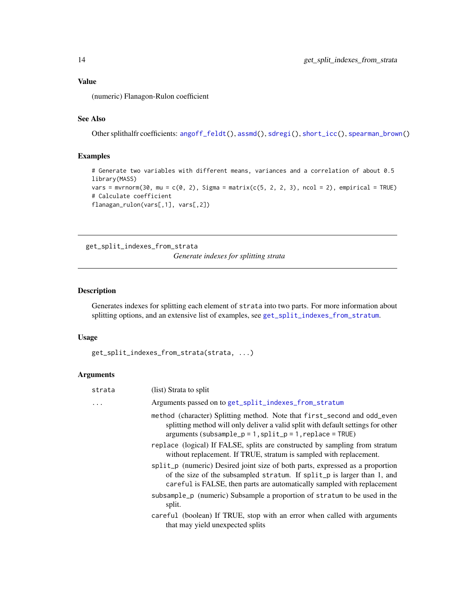# <span id="page-13-0"></span>Value

(numeric) Flanagon-Rulon coefficient

# See Also

Other splithalfr coefficients: [angoff\\_feldt\(](#page-1-1)), [assmd\(](#page-3-1)), [sdregi\(](#page-16-1)), [short\\_icc\(](#page-16-2)), [spearman\\_brown\(](#page-17-1))

### Examples

```
# Generate two variables with different means, variances and a correlation of about 0.5
library(MASS)
vars = mvrnorm(30, mu = c(0, 2), Sigma = matrix(c(5, 2, 2, 3), ncol = 2), empirical = TRUE)
# Calculate coefficient
flanagan_rulon(vars[,1], vars[,2])
```
<span id="page-13-1"></span>get\_split\_indexes\_from\_strata

*Generate indexes for splitting strata*

#### Description

Generates indexes for splitting each element of strata into two parts. For more information about splitting options, and an extensive list of examples, see [get\\_split\\_indexes\\_from\\_stratum](#page-14-1).

#### Usage

```
get_split_indexes_from_strata(strata, ...)
```

| strata | (list) Strata to split                                                                                                                                                                                                              |
|--------|-------------------------------------------------------------------------------------------------------------------------------------------------------------------------------------------------------------------------------------|
|        | Arguments passed on to get_split_indexes_from_stratum                                                                                                                                                                               |
|        | method (character) Splitting method. Note that first_second and odd_even<br>splitting method will only deliver a valid split with default settings for other<br>$arguments (subsample_p = 1, split_p = 1, replace = TRUE)$          |
|        | replace (logical) If FALSE, splits are constructed by sampling from stratum<br>without replacement. If TRUE, stratum is sampled with replacement.                                                                                   |
|        | split_p (numeric) Desired joint size of both parts, expressed as a proportion<br>of the size of the subsampled stratum. If split_p is larger than 1, and<br>careful is FALSE, then parts are automatically sampled with replacement |
|        | subsample_p (numeric) Subsample a proportion of stratum to be used in the<br>split.                                                                                                                                                 |
|        | careful (boolean) If TRUE, stop with an error when called with arguments<br>that may yield unexpected splits                                                                                                                        |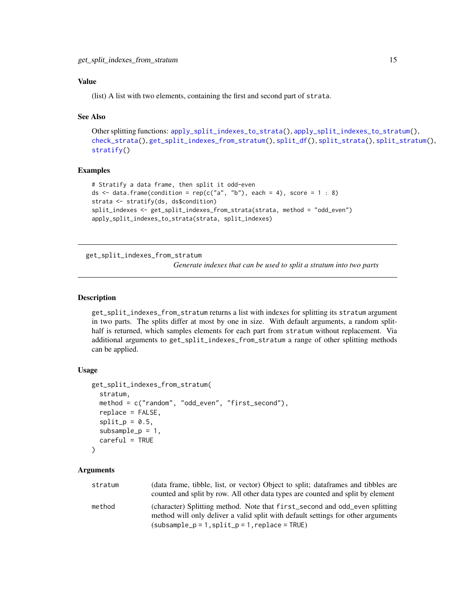# <span id="page-14-0"></span>Value

(list) A list with two elements, containing the first and second part of strata.

#### See Also

```
Other splitting functions: apply_split_indexes_to_strata(), apply_split_indexes_to_stratum(),
check_strata(), get_split_indexes_from_stratum(), split_df(), split_strata(), split_stratum(),
stratify()
```
# Examples

```
# Stratify a data frame, then split it odd-even
ds \le data.frame(condition = rep(c("a", "b"), each = 4), score = 1 : 8)
strata <- stratify(ds, ds$condition)
split_indexes <- get_split_indexes_from_strata(strata, method = "odd_even")
apply_split_indexes_to_strata(strata, split_indexes)
```
<span id="page-14-1"></span>get\_split\_indexes\_from\_stratum

*Generate indexes that can be used to split a stratum into two parts*

#### Description

get\_split\_indexes\_from\_stratum returns a list with indexes for splitting its stratum argument in two parts. The splits differ at most by one in size. With default arguments, a random splithalf is returned, which samples elements for each part from stratum without replacement. Via additional arguments to get\_split\_indexes\_from\_stratum a range of other splitting methods can be applied.

#### Usage

```
get_split_indexes_from_stratum(
  stratum,
  method = c("random", "odd_even", "first_second"),
  replace = FALSE,
  split_p = 0.5,
  subsample_p = 1,
  careful = TRUE)
```

| stratum | (data frame, tibble, list, or vector) Object to split; data frames and tibbles are                                                                              |
|---------|-----------------------------------------------------------------------------------------------------------------------------------------------------------------|
|         | counted and split by row. All other data types are counted and split by element                                                                                 |
| method  | (character) Splitting method. Note that first_second and odd_even splitting<br>method will only deliver a valid split with default settings for other arguments |
|         | $(subsample_p = 1, split_p = 1, replace = TRUE)$                                                                                                                |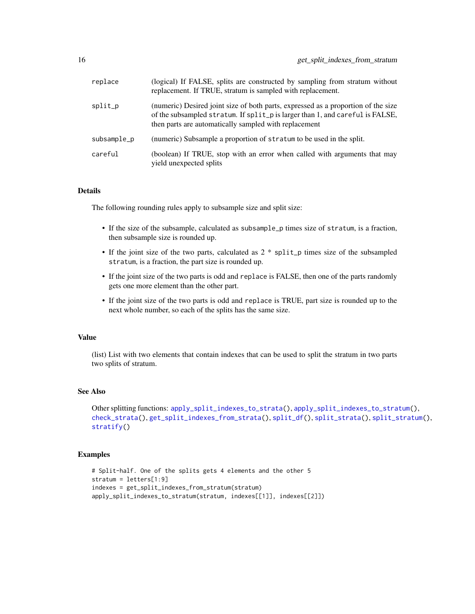<span id="page-15-0"></span>

| replace     | (logical) If FALSE, splits are constructed by sampling from stratum without<br>replacement. If TRUE, stratum is sampled with replacement.                                                                                   |
|-------------|-----------------------------------------------------------------------------------------------------------------------------------------------------------------------------------------------------------------------------|
| split_p     | (numeric) Desired joint size of both parts, expressed as a proportion of the size<br>of the subsampled stratum. If split_p is larger than 1, and careful is FALSE,<br>then parts are automatically sampled with replacement |
| subsample_p | (numeric) Subsample a proportion of stratum to be used in the split.                                                                                                                                                        |
| careful     | (boolean) If TRUE, stop with an error when called with arguments that may<br>yield unexpected splits                                                                                                                        |

#### Details

The following rounding rules apply to subsample size and split size:

- If the size of the subsample, calculated as subsample\_p times size of stratum, is a fraction, then subsample size is rounded up.
- If the joint size of the two parts, calculated as  $2 * split_p$  times size of the subsampled stratum, is a fraction, the part size is rounded up.
- If the joint size of the two parts is odd and replace is FALSE, then one of the parts randomly gets one more element than the other part.
- If the joint size of the two parts is odd and replace is TRUE, part size is rounded up to the next whole number, so each of the splits has the same size.

#### Value

(list) List with two elements that contain indexes that can be used to split the stratum in two parts two splits of stratum.

#### See Also

```
Other splitting functions: apply_split_indexes_to_strata(), apply_split_indexes_to_stratum(),
check_strata(), get_split_indexes_from_strata(), split_df(), split_strata(), split_stratum(),
stratify()
```
#### Examples

```
# Split-half. One of the splits gets 4 elements and the other 5
stratum = letters[1:9]
indexes = get_split_indexes_from_stratum(stratum)
apply_split_indexes_to_stratum(stratum, indexes[[1]], indexes[[2]])
```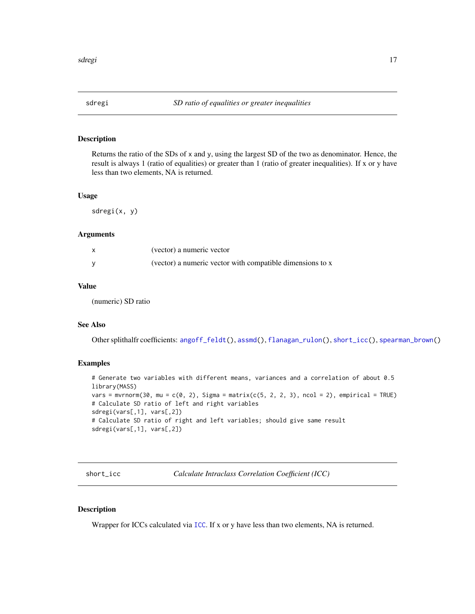#### <span id="page-16-1"></span><span id="page-16-0"></span>Description

Returns the ratio of the SDs of  $x$  and  $y$ , using the largest SD of the two as denominator. Hence, the result is always 1 (ratio of equalities) or greater than 1 (ratio of greater inequalities). If x or y have less than two elements, NA is returned.

### Usage

sdregi(x, y)

### Arguments

| (vector) a numeric vector                                 |
|-----------------------------------------------------------|
| (vector) a numeric vector with compatible dimensions to x |

# Value

(numeric) SD ratio

# See Also

Other splithalfr coefficients: [angoff\\_feldt\(](#page-1-1)), [assmd\(](#page-3-1)), [flanagan\\_rulon\(](#page-12-1)), [short\\_icc\(](#page-16-2)), [spearman\\_brown\(](#page-17-1))

# Examples

```
# Generate two variables with different means, variances and a correlation of about 0.5
library(MASS)
vars = mvrnorm(30, mu = c(0, 2), Sigma = matrix(c(5, 2, 2, 3), ncol = 2), empirical = TRUE)
# Calculate SD ratio of left and right variables
sdregi(vars[,1], vars[,2])
# Calculate SD ratio of right and left variables; should give same result
sdregi(vars[,1], vars[,2])
```
<span id="page-16-2"></span>short\_icc *Calculate Intraclass Correlation Coefficient (ICC)*

#### Description

Wrapper for ICCs calculated via [ICC](#page-0-0). If x or y have less than two elements, NA is returned.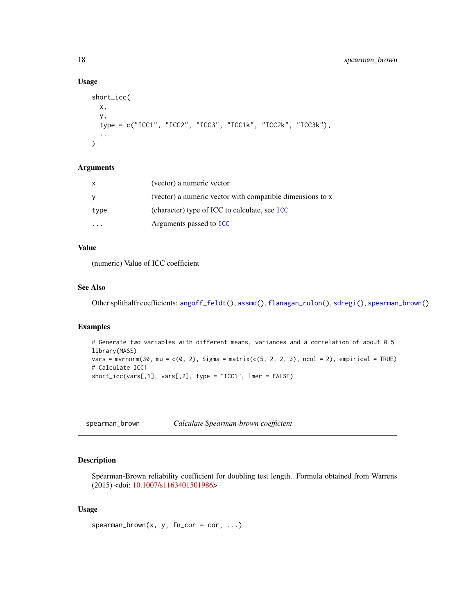#### Usage

```
short_icc(
 x,
 y,
  type = c("ICC1", "ICC2", "ICC3", "ICC1k", "ICC2k", "ICC3k"),
  ...
\mathcal{L}
```
#### Arguments

| $\mathsf{x}$ | (vector) a numeric vector                                 |
|--------------|-----------------------------------------------------------|
| - V          | (vector) a numeric vector with compatible dimensions to x |
| type         | (character) type of ICC to calculate, see ICC             |
|              | Arguments passed to <b>ICC</b>                            |

#### Value

(numeric) Value of ICC coefficient

# See Also

Other splithalfr coefficients: [angoff\\_feldt\(](#page-1-1)), [assmd\(](#page-3-1)), [flanagan\\_rulon\(](#page-12-1)), [sdregi\(](#page-16-1)), [spearman\\_brown\(](#page-17-1))

#### Examples

```
# Generate two variables with different means, variances and a correlation of about 0.5
library(MASS)
vars = mvrnorm(30, mu = c(0, 2), Sigma = matrix(c(5, 2, 2, 3), ncol = 2), empirical = TRUE)
# Calculate ICC1
short_icc(vars[,1], vars[,2], type = "ICC1", lmer = FALSE)
```
<span id="page-17-1"></span>spearman\_brown *Calculate Spearman-brown coefficient*

# Description

Spearman-Brown reliability coefficient for doubling test length. Formula obtained from Warrens (2015) <doi: [10.1007/s1163401501986>](https://doi.org/10.1007/s11634-015-0198-6)

#### Usage

```
spearman\_brown(x, y, fn\_cor = cor, ...)
```
<span id="page-17-0"></span>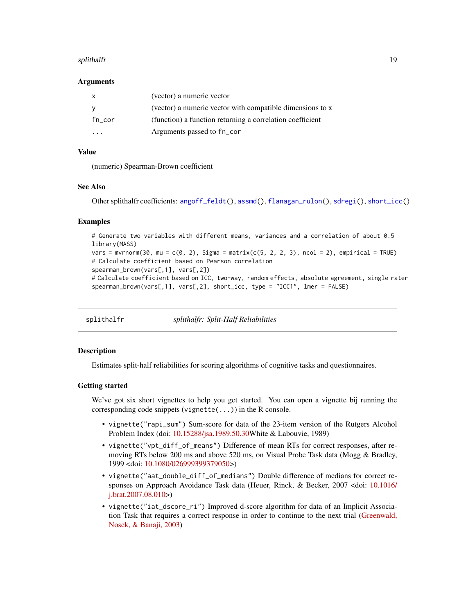#### <span id="page-18-0"></span>splithalfr the contract of the splithalfr the splithalfr the splithalfr the splithalfr the splithalfr the splithalfr

#### Arguments

| x         | (vector) a numeric vector                                 |
|-----------|-----------------------------------------------------------|
|           | (vector) a numeric vector with compatible dimensions to x |
| $fn\_cor$ | (function) a function returning a correlation coefficient |
| $\cdot$   | Arguments passed to fn_cor                                |

# Value

(numeric) Spearman-Brown coefficient

# See Also

Other splithalfr coefficients: [angoff\\_feldt\(](#page-1-1)), [assmd\(](#page-3-1)), [flanagan\\_rulon\(](#page-12-1)), [sdregi\(](#page-16-1)), [short\\_icc\(](#page-16-2))

#### Examples

```
# Generate two variables with different means, variances and a correlation of about 0.5
library(MASS)
vars = mvrnorm(30, mu = c(0, 2), Sigma = matrix(c(5, 2, 2, 3), ncol = 2), empirical = TRUE)
# Calculate coefficient based on Pearson correlation
spearman_brown(vars[,1], vars[,2])
# Calculate coefficient based on ICC, two-way, random effects, absolute agreement, single rater
spearman_brown(vars[,1], vars[,2], short_icc, type = "ICC1", lmer = FALSE)
```
<span id="page-18-1"></span>splithalfr *splithalfr: Split-Half Reliabilities*

#### Description

Estimates split-half reliabilities for scoring algorithms of cognitive tasks and questionnaires.

#### Getting started

We've got six short vignettes to help you get started. You can open a vignette bij running the corresponding code snippets (vignette(...)) in the R console.

- vignette("rapi\_sum") Sum-score for data of the 23-item version of the Rutgers Alcohol Problem Index (doi: [10.15288/jsa.1989.50.30W](https://doi.org/10.15288/jsa.1989.50.30)hite & Labouvie, 1989)
- vignette("vpt\_diff\_of\_means") Difference of mean RTs for correct responses, after removing RTs below 200 ms and above 520 ms, on Visual Probe Task data (Mogg & Bradley, 1999 <doi: [10.1080/026999399379050>](https://doi.org/10.1080/026999399379050))
- vignette("aat\_double\_diff\_of\_medians") Double difference of medians for correct responses on Approach Avoidance Task data (Heuer, Rinck, & Becker, 2007 <doi: [10.1016/](https://doi.org/10.1016/j.brat.2007.08.010) [j.brat.2007.08.010>](https://doi.org/10.1016/j.brat.2007.08.010))
- vignette("iat\_dscore\_ri") Improved d-score algorithm for data of an Implicit Association Task that requires a correct response in order to continue to the next trial [\(Greenwald,](https://pubmed.ncbi.nlm.nih.gov/12916565/) [Nosek, & Banaji, 2003\)](https://pubmed.ncbi.nlm.nih.gov/12916565/)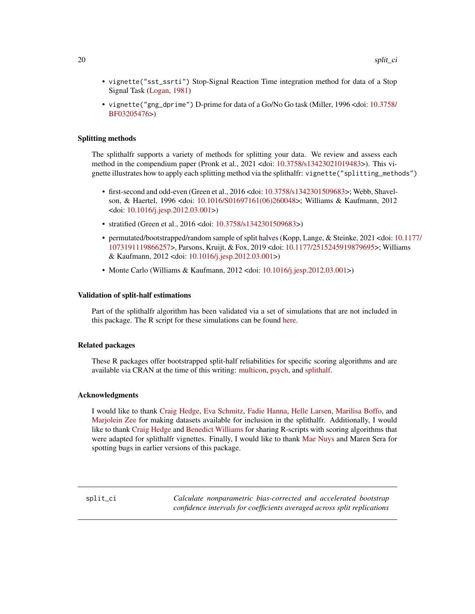- <span id="page-19-0"></span>• vignette("sst\_ssrti") Stop-Signal Reaction Time integration method for data of a Stop Signal Task [\(Logan, 1981\)](http://www.psy.vanderbilt.edu/faculty/logan/Logan(1981).pdf)
- vignette("gng\_dprime") D-prime for data of a Go/No Go task (Miller, 1996 <doi: [10.3758/](https://doi.org/10.3758/BF03205476) [BF03205476>](https://doi.org/10.3758/BF03205476))

#### Splitting methods

The splithalfr supports a variety of methods for splitting your data. We review and assess each method in the compendium paper (Pronk et al., 2021 <doi: [10.3758/s13423021019483>](https://doi.org/10.3758/s13423-021-01948-3)). This vignette illustrates how to apply each splitting method via the splithalfr: vignette("splitting\_methods")

- first-second and odd-even (Green et al., 2016 <doi: [10.3758/s1342301509683>](https://doi.org/10.3758/s13423-015-0968-3); Webb, Shavelson, & Haertel, 1996 <doi: [10.1016/S01697161\(06\)260048>](https://doi.org/10.1016/S0169-7161(06)26004-8); Williams & Kaufmann, 2012 <doi: [10.1016/j.jesp.2012.03.001>](https://doi.org/10.1016/j.jesp.2012.03.001))
- stratified (Green et al., 2016 <doi: [10.3758/s1342301509683>](https://doi.org/10.3758/s13423-015-0968-3))
- permutated/bootstrapped/random sample of split halves (Kopp, Lange, & Steinke, 2021 <doi: [1](https://doi.org/10.1177/1073191119866257)0.1177/ [1073191119866257>](https://doi.org/10.1177/1073191119866257), Parsons, Kruijt, & Fox, 2019 <doi: [10.1177/2515245919879695>](https://doi.org/10.1177/2515245919879695); Williams & Kaufmann, 2012 <doi: [10.1016/j.jesp.2012.03.001>](https://doi.org/10.1016/j.jesp.2012.03.001))
- Monte Carlo (Williams & Kaufmann, 2012 <doi: [10.1016/j.jesp.2012.03.001>](https://doi.org/10.1016/j.jesp.2012.03.001))

#### Validation of split-half estimations

Part of the splithalfr algorithm has been validated via a set of simulations that are not included in this package. The R script for these simulations can be found [here.](https://github.com/tpronk/splithalfr_simulation)

#### Related packages

These R packages offer bootstrapped split-half reliabilities for specific scoring algorithms and are available via CRAN at the time of this writing: [multicon,](https://cran.r-project.org/package=multicon) [psych,](https://cran.r-project.org/package=psych) and [splithalf.](https://cran.r-project.org/package=splithalf)

#### Acknowledgments

I would like to thank [Craig Hedge,](https://www.researchgate.net/profile/Craig-Hedge) [Eva Schmitz,](https://www.researchgate.net/profile/Eva-Schmitz) [Fadie Hanna,](https://www.uva.nl/en/profile/h/a/f.hanna/f.hanna.html) [Helle Larsen,](https://scholar.google.com/citations?user=ugPnkjEAAAAJ&hl=en) [Marilisa Boffo,](https://www.researchgate.net/profile/Marilisa-Boffo) and [Marjolein Zee](https://www.researchgate.net/profile/Marjolein-Zee-2) for making datasets available for inclusion in the splithalfr. Additionally, I would like to thank [Craig Hedge](https://www.researchgate.net/profile/Craig-Hedge) and [Benedict Williams](https://www.swinburne.edu.au/research/our-research/access-our-research/find-a-researcher-or-supervisor/researcher-profile/?id=bwilliams) for sharing R-scripts with scoring algorithms that were adapted for splithalfr vignettes. Finally, I would like to thank [Mae Nuys](https://www.researchgate.net/profile/Mae-Nuijs) and Maren Sera for spotting bugs in earlier versions of this package.

<span id="page-19-1"></span>split\_ci *Calculate nonparametric bias-corrected and accelerated bootstrap confidence intervals for coefficients averaged across split replications*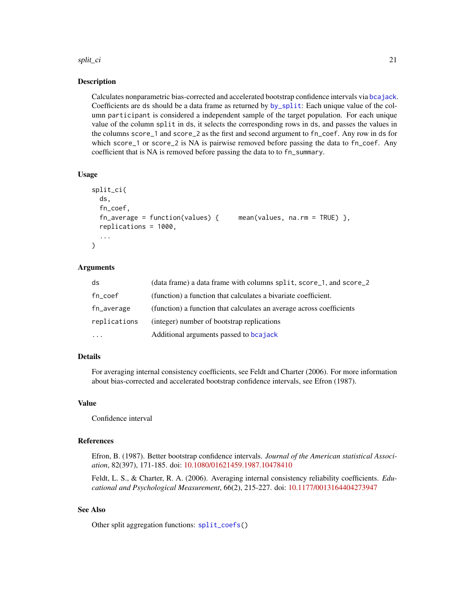#### <span id="page-20-0"></span>split\_ci 21

#### Description

Calculates nonparametric bias-corrected and accelerated bootstrap confidence intervals via [bcajack](#page-0-0). Coefficients are ds should be a data frame as returned by [by\\_split](#page-4-1): Each unique value of the column participant is considered a independent sample of the target population. For each unique value of the column split in ds, it selects the corresponding rows in ds, and passes the values in the columns score\_1 and score\_2 as the first and second argument to fn\_coef. Any row in ds for which score<sub>-1</sub> or score<sub>-2</sub> is NA is pairwise removed before passing the data to fn<sub>-coef.</sub> Any coefficient that is NA is removed before passing the data to to fn\_summary.

#### Usage

```
split_ci(
 ds,
  fn_coef,
  fn_average = function(values) { mean(values, na.rm = TRUE) },
  replications = 1000,
  ...
)
```
### Arguments

| ds           | (data frame) a data frame with columns split, score_1, and score_2   |
|--------------|----------------------------------------------------------------------|
| fn_coef      | (function) a function that calculates a bivariate coefficient.       |
| fn_average   | (function) a function that calculates an average across coefficients |
| replications | (integer) number of bootstrap replications                           |
| $\cdots$     | Additional arguments passed to be a jack                             |

#### Details

For averaging internal consistency coefficients, see Feldt and Charter (2006). For more information about bias-corrected and accelerated bootstrap confidence intervals, see Efron (1987).

#### Value

Confidence interval

#### References

Efron, B. (1987). Better bootstrap confidence intervals. *Journal of the American statistical Association*, 82(397), 171-185. doi: [10.1080/01621459.1987.10478410](https://doi.org/10.1080/01621459.1987.10478410)

Feldt, L. S., & Charter, R. A. (2006). Averaging internal consistency reliability coefficients. *Educational and Psychological Measurement*, 66(2), 215-227. doi: [10.1177/0013164404273947](https://doi.org/10.1177/0013164404273947)

# See Also

Other split aggregation functions: [split\\_coefs\(](#page-21-1))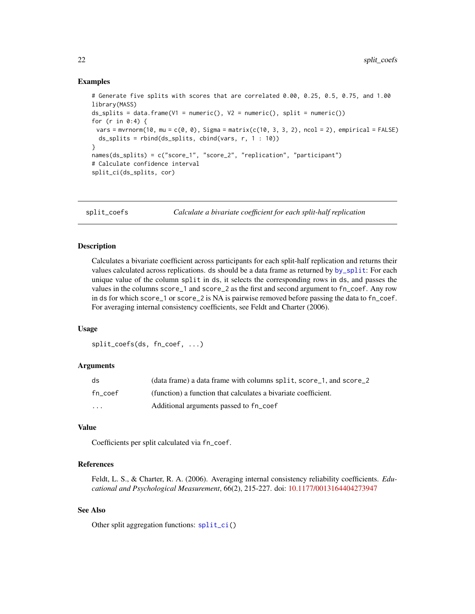#### <span id="page-21-0"></span>Examples

```
# Generate five splits with scores that are correlated 0.00, 0.25, 0.5, 0.75, and 1.00
library(MASS)
ds_splits = data.frame(V1 = numeric(), V2 = numeric(), split = numeric())
for (r in 0:4) {
 vars = mvrnorm(10, mu = c(0, 0), Sigma = matrix(c(10, 3, 3, 2), ncol = 2), empirical = FALSE)
  ds_splits = rbind(ds_splits, cbind(vars, r, 1 : 10))
}
names(ds_splits) = c("score_1", "score_2", "replication", "participant")
# Calculate confidence interval
split_ci(ds_splits, cor)
```
<span id="page-21-1"></span>

split\_coefs *Calculate a bivariate coefficient for each split-half replication*

#### Description

Calculates a bivariate coefficient across participants for each split-half replication and returns their values calculated across replications. ds should be a data frame as returned by [by\\_split](#page-4-1): For each unique value of the column split in ds, it selects the corresponding rows in ds, and passes the values in the columns score\_1 and score\_2 as the first and second argument to fn\_coef. Any row in ds for which score\_1 or score\_2 is NA is pairwise removed before passing the data to fn\_coef. For averaging internal consistency coefficients, see Feldt and Charter (2006).

#### Usage

split\_coefs(ds, fn\_coef, ...)

#### Arguments

| ds                      | (data frame) a data frame with columns split, score 1, and score 2 |
|-------------------------|--------------------------------------------------------------------|
| fn coef                 | (function) a function that calculates a bivariate coefficient.     |
| $\cdot$ $\cdot$ $\cdot$ | Additional arguments passed to fn_coef                             |

## Value

Coefficients per split calculated via fn\_coef.

### References

Feldt, L. S., & Charter, R. A. (2006). Averaging internal consistency reliability coefficients. *Educational and Psychological Measurement*, 66(2), 215-227. doi: [10.1177/0013164404273947](https://doi.org/10.1177/0013164404273947)

#### See Also

Other split aggregation functions: [split\\_ci\(](#page-19-1))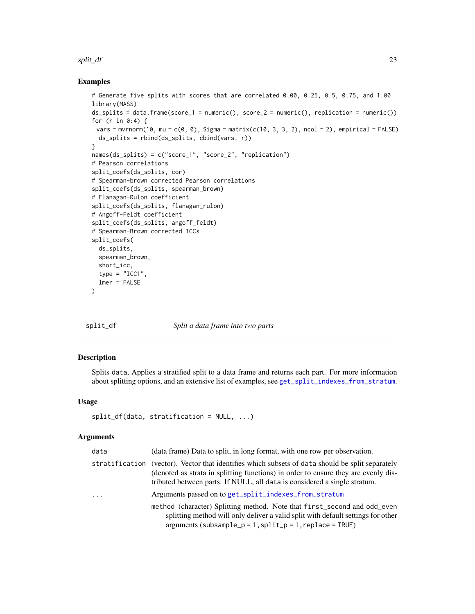#### <span id="page-22-0"></span>split\_df 23

#### Examples

```
# Generate five splits with scores that are correlated 0.00, 0.25, 0.5, 0.75, and 1.00
library(MASS)
ds_splits = data.frame(score_1 = numeric(), score_2 = numeric(), replication = numeric())
for (r in 0:4) {
 vars = mvrnorm(10, mu = c(\theta, \theta), Sigma = matrix(c(10, 3, 3, 2), ncol = 2), empirical = FALSE)
 ds_splits = rbind(ds_splits, cbind(vars, r))
}
names(ds_splits) = c("score_1", "score_2", "replication")
# Pearson correlations
split_coefs(ds_splits, cor)
# Spearman-brown corrected Pearson correlations
split_coefs(ds_splits, spearman_brown)
# Flanagan-Rulon coefficient
split_coefs(ds_splits, flanagan_rulon)
# Angoff-Feldt coefficient
split_coefs(ds_splits, angoff_feldt)
# Spearman-Brown corrected ICCs
split_coefs(
 ds_splits,
 spearman_brown,
 short_icc,
 type = "ICC1",
 lmer = FALSE
)
```
#### <span id="page-22-1"></span>split\_df *Split a data frame into two parts*

#### Description

Splits data, Applies a stratified split to a data frame and returns each part. For more information about splitting options, and an extensive list of examples, see [get\\_split\\_indexes\\_from\\_stratum](#page-14-1).

#### Usage

```
split_df(data, stratification = NULL, ...)
```

| data           | (data frame) Data to split, in long format, with one row per observation.                                                                                                                                                                            |
|----------------|------------------------------------------------------------------------------------------------------------------------------------------------------------------------------------------------------------------------------------------------------|
| stratification | (vector). Vector that identifies which subsets of data should be split separately<br>(denoted as strata in splitting functions) in order to ensure they are evenly dis-<br>tributed between parts. If NULL, all data is considered a single stratum. |
| $\cdots$       | Arguments passed on to get_split_indexes_from_stratum                                                                                                                                                                                                |
|                | method (character) Splitting method. Note that first_second and odd_even<br>splitting method will only deliver a valid split with default settings for other<br>$arguments (subsample_p = 1, split_p = 1, replica = 1, replace = TRUE)$              |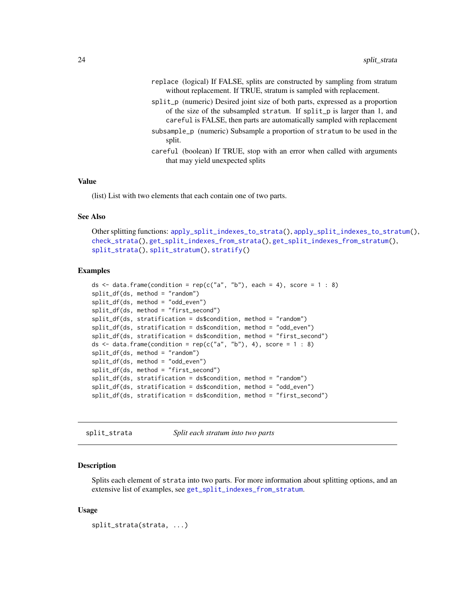- <span id="page-23-0"></span>replace (logical) If FALSE, splits are constructed by sampling from stratum without replacement. If TRUE, stratum is sampled with replacement.
- split\_p (numeric) Desired joint size of both parts, expressed as a proportion of the size of the subsampled stratum. If split\_p is larger than 1, and careful is FALSE, then parts are automatically sampled with replacement
- subsample\_p (numeric) Subsample a proportion of stratum to be used in the split.
- careful (boolean) If TRUE, stop with an error when called with arguments that may yield unexpected splits

#### Value

(list) List with two elements that each contain one of two parts.

#### See Also

```
Other splitting functions: apply_split_indexes_to_strata(), apply_split_indexes_to_stratum(),
check_strata(), get_split_indexes_from_strata(), get_split_indexes_from_stratum(),
split_strata(), split_stratum(), stratify()
```
#### Examples

```
ds \le data.frame(condition = rep(c("a", "b"), each = 4), score = 1 : 8)
split_df(ds, method = "random")
split_df(ds, method = "odd_even")
split_df(ds, method = "first_second")
split_df(ds, stratification = ds$condition, method = "random")
split_df(ds, stratification = ds$condition, method = "odd_even")
split_df(ds, stratification = ds$condition, method = "first_second")
ds \le data.frame(condition = rep(c("a", "b"), 4), score = 1 : 8)
split_df(ds, method = "random")
split_df(ds, method = "odd_even")
split_df(ds, method = "first_second")
split_df(ds, stratification = ds$condition, method = "random")
split_df(ds, stratification = ds$condition, method = "odd_even")
split_df(ds, stratification = ds$condition, method = "first_second")
```
<span id="page-23-1"></span>split\_strata *Split each stratum into two parts*

#### **Description**

Splits each element of strata into two parts. For more information about splitting options, and an extensive list of examples, see [get\\_split\\_indexes\\_from\\_stratum](#page-14-1).

#### Usage

```
split_strata(strata, ...)
```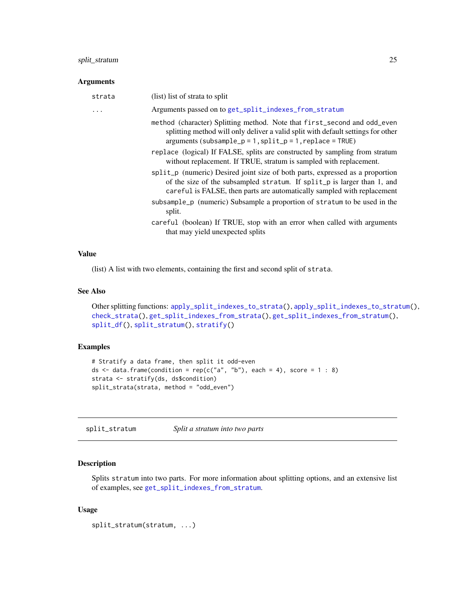# <span id="page-24-0"></span>split\_stratum 25

#### Arguments

| strata | (list) list of strata to split                                                                                                                                                                                                      |
|--------|-------------------------------------------------------------------------------------------------------------------------------------------------------------------------------------------------------------------------------------|
| .      | Arguments passed on to get_split_indexes_from_stratum                                                                                                                                                                               |
|        | method (character) Splitting method. Note that first_second and odd_even<br>splitting method will only deliver a valid split with default settings for other<br>$arguments (subsample_p = 1, split_p = 1, replica = THEP)$          |
|        | replace (logical) If FALSE, splits are constructed by sampling from stratum<br>without replacement. If TRUE, stratum is sampled with replacement.                                                                                   |
|        | split_p (numeric) Desired joint size of both parts, expressed as a proportion<br>of the size of the subsampled stratum. If split_p is larger than 1, and<br>careful is FALSE, then parts are automatically sampled with replacement |
|        | subsample_p (numeric) Subsample a proportion of stratum to be used in the<br>split.                                                                                                                                                 |
|        | careful (boolean) If TRUE, stop with an error when called with arguments<br>that may yield unexpected splits                                                                                                                        |

#### Value

(list) A list with two elements, containing the first and second split of strata.

### See Also

```
Other splitting functions: apply_split_indexes_to_strata(), apply_split_indexes_to_stratum(),
check_strata(), get_split_indexes_from_strata(), get_split_indexes_from_stratum(),
split_df(), split_stratum(), stratify()
```
#### Examples

```
# Stratify a data frame, then split it odd-even
ds \le- data.frame(condition = rep(c("a", "b"), each = 4), score = 1 : 8)
strata <- stratify(ds, ds$condition)
split_strata(strata, method = "odd_even")
```
<span id="page-24-1"></span>split\_stratum *Split a stratum into two parts*

# Description

Splits stratum into two parts. For more information about splitting options, and an extensive list of examples, see [get\\_split\\_indexes\\_from\\_stratum](#page-14-1).

#### Usage

split\_stratum(stratum, ...)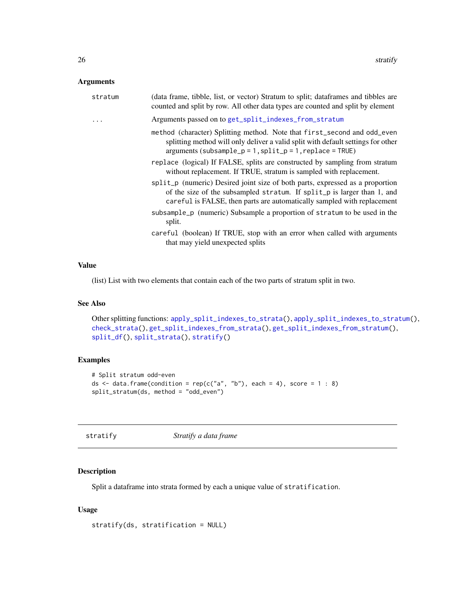# <span id="page-25-0"></span>Arguments

| stratum | (data frame, tibble, list, or vector) Stratum to split; dataframes and tibbles are<br>counted and split by row. All other data types are counted and split by element                                                               |
|---------|-------------------------------------------------------------------------------------------------------------------------------------------------------------------------------------------------------------------------------------|
| .       | Arguments passed on to get_split_indexes_from_stratum                                                                                                                                                                               |
|         | method (character) Splitting method. Note that first_second and odd_even<br>splitting method will only deliver a valid split with default settings for other<br>$arguments (subsample_p = 1, split_p = 1, replace = TRUE)$          |
|         | replace (logical) If FALSE, splits are constructed by sampling from stratum<br>without replacement. If TRUE, stratum is sampled with replacement.                                                                                   |
|         | split_p (numeric) Desired joint size of both parts, expressed as a proportion<br>of the size of the subsampled stratum. If split_p is larger than 1, and<br>careful is FALSE, then parts are automatically sampled with replacement |
|         | subsample_p (numeric) Subsample a proportion of stratum to be used in the<br>split.                                                                                                                                                 |
|         | careful (boolean) If TRUE, stop with an error when called with arguments<br>that may yield unexpected splits                                                                                                                        |
|         |                                                                                                                                                                                                                                     |

# Value

(list) List with two elements that contain each of the two parts of stratum split in two.

#### See Also

```
Other splitting functions: apply_split_indexes_to_strata(), apply_split_indexes_to_stratum(),
check_strata(), get_split_indexes_from_strata(), get_split_indexes_from_stratum(),
split_df(), split_strata(), stratify()
```
# Examples

```
# Split stratum odd-even
ds \le data.frame(condition = rep(c("a", "b"), each = 4), score = 1 : 8)
split_stratum(ds, method = "odd_even")
```
<span id="page-25-1"></span>

| stratify |  |
|----------|--|
|----------|--|

stratify *Stratify a data frame*

# Description

Split a dataframe into strata formed by each a unique value of stratification.

#### Usage

```
stratify(ds, stratification = NULL)
```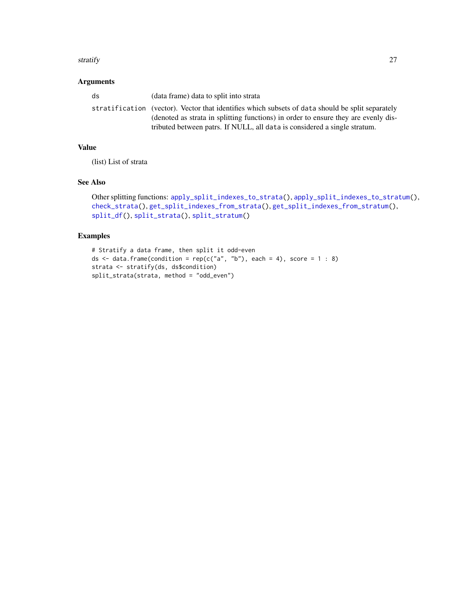#### <span id="page-26-0"></span>stratify 27

# Arguments

| ds | (data frame) data to split into strata                                                           |
|----|--------------------------------------------------------------------------------------------------|
|    | stratification (vector). Vector that identifies which subsets of data should be split separately |
|    | (denoted as strata in splitting functions) in order to ensure they are evenly dis-               |
|    | tributed between patrs. If NULL, all data is considered a single stratum.                        |

# Value

(list) List of strata

# See Also

```
Other splitting functions: apply_split_indexes_to_strata(), apply_split_indexes_to_stratum(),
check_strata(), get_split_indexes_from_strata(), get_split_indexes_from_stratum(),
split_df(), split_strata(), split_stratum()
```
# Examples

```
# Stratify a data frame, then split it odd-even
ds \le data.frame(condition = rep(c("a", "b"), each = 4), score = 1 : 8)
strata <- stratify(ds, ds$condition)
split_strata(strata, method = "odd_even")
```